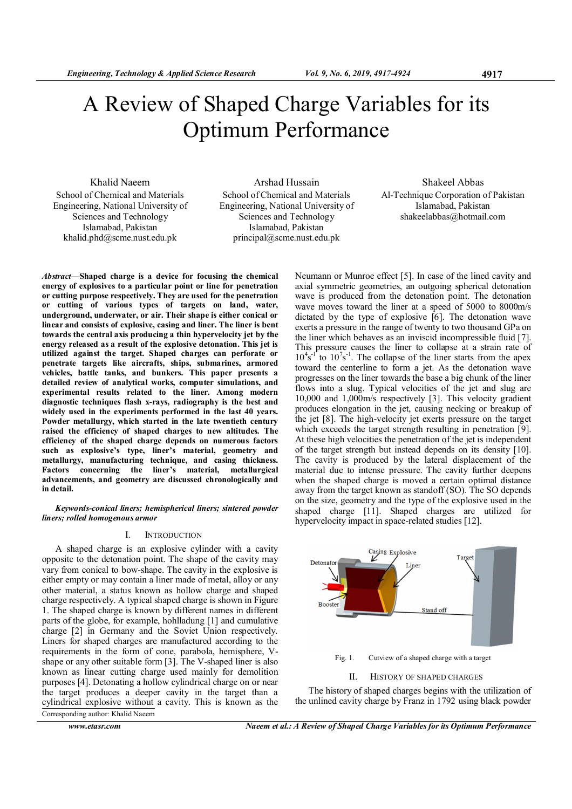# A Review of Shaped Charge Variables for its Optimum Performance

Khalid Naeem School of Chemical and Materials Engineering, National University of Sciences and Technology Islamabad, Pakistan khalid.phd@scme.nust.edu.pk

Arshad Hussain School of Chemical and Materials Engineering, National University of Sciences and Technology Islamabad, Pakistan principal@scme.nust.edu.pk

Shakeel Abbas Al-Technique Corporation of Pakistan Islamabad, Pakistan shakeelabbas@hotmail.com

Abstract—Shaped charge is a device for focusing the chemical energy of explosives to a particular point or line for penetration or cutting purpose respectively. They are used for the penetration or cutting of various types of targets on land, water, underground, underwater, or air. Their shape is either conical or linear and consists of explosive, casing and liner. The liner is bent towards the central axis producing a thin hypervelocity jet by the energy released as a result of the explosive detonation. This jet is utilized against the target. Shaped charges can perforate or penetrate targets like aircrafts, ships, submarines, armored vehicles, battle tanks, and bunkers. This paper presents a detailed review of analytical works, computer simulations, and experimental results related to the liner. Among modern diagnostic techniques flash x-rays, radiography is the best and widely used in the experiments performed in the last 40 years. Powder metallurgy, which started in the late twentieth century raised the efficiency of shaped charges to new altitudes. The efficiency of the shaped charge depends on numerous factors such as explosive's type, liner's material, geometry and metallurgy, manufacturing technique, and casing thickness. Factors concerning the liner's material, metallurgical advancements, and geometry are discussed chronologically and in detail.

Keywords-conical liners; hemispherical liners; sintered powder liners; rolled homogenous armor

## I. INTRODUCTION

A shaped charge is an explosive cylinder with a cavity opposite to the detonation point. The shape of the cavity may vary from conical to bow-shape. The cavity in the explosive is either empty or may contain a liner made of metal, alloy or any other material, a status known as hollow charge and shaped charge respectively. A typical shaped charge is shown in Figure 1. The shaped charge is known by different names in different parts of the globe, for example, hohlladung [1] and cumulative charge [2] in Germany and the Soviet Union respectively. Liners for shaped charges are manufactured according to the requirements in the form of cone, parabola, hemisphere, Vshape or any other suitable form [3]. The V-shaped liner is also known as linear cutting charge used mainly for demolition purposes [4]. Detonating a hollow cylindrical charge on or near the target produces a deeper cavity in the target than a cylindrical explosive without a cavity. This is known as the Corresponding author: Khalid Naeem

Neumann or Munroe effect [5]. In case of the lined cavity and axial symmetric geometries, an outgoing spherical detonation wave is produced from the detonation point. The detonation wave moves toward the liner at a speed of 5000 to 8000m/s dictated by the type of explosive [6]. The detonation wave exerts a pressure in the range of twenty to two thousand GPa on the liner which behaves as an inviscid incompressible fluid [7]. This pressure causes the liner to collapse at a strain rate of  $10^4$ s<sup>-1</sup> to  $10^7$ s<sup>-1</sup>. The collapse of the liner starts from the apex toward the centerline to form a jet. As the detonation wave progresses on the liner towards the base a big chunk of the liner flows into a slug. Typical velocities of the jet and slug are 10,000 and 1,000m/s respectively [3]. This velocity gradient produces elongation in the jet, causing necking or breakup of the jet [8]. The high-velocity jet exerts pressure on the target which exceeds the target strength resulting in penetration [9]. At these high velocities the penetration of the jet is independent of the target strength but instead depends on its density [10]. The cavity is produced by the lateral displacement of the material due to intense pressure. The cavity further deepens when the shaped charge is moved a certain optimal distance away from the target known as standoff (SO). The SO depends on the size, geometry and the type of the explosive used in the shaped charge [11]. Shaped charges are utilized for hypervelocity impact in space-related studies [12].



Fig. 1. Cutview of a shaped charge with a target

## II. HISTORY OF SHAPED CHARGES

The history of shaped charges begins with the utilization of the unlined cavity charge by Franz in 1792 using black powder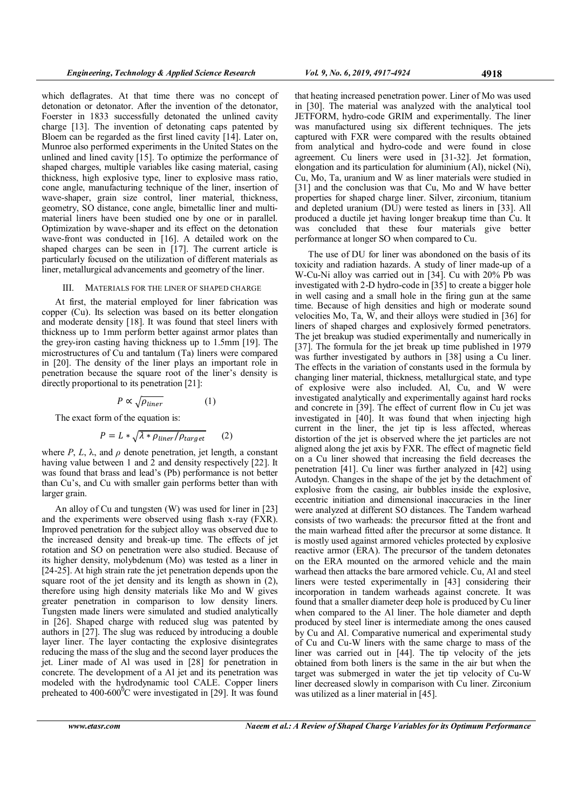which deflagrates. At that time there was no concept of detonation or detonator. After the invention of the detonator, Foerster in 1833 successfully detonated the unlined cavity charge [13]. The invention of detonating caps patented by Bloem can be regarded as the first lined cavity [14]. Later on, Munroe also performed experiments in the United States on the unlined and lined cavity [15]. To optimize the performance of shaped charges, multiple variables like casing material, casing thickness, high explosive type, liner to explosive mass ratio, cone angle, manufacturing technique of the liner, insertion of wave-shaper, grain size control, liner material, thickness, geometry, SO distance, cone angle, bimetallic liner and multimaterial liners have been studied one by one or in parallel. Optimization by wave-shaper and its effect on the detonation wave-front was conducted in [16]. A detailed work on the shaped charges can be seen in [17]. The current article is particularly focused on the utilization of different materials as liner, metallurgical advancements and geometry of the liner.

### III. MATERIALS FOR THE LINER OF SHAPED CHARGE

At first, the material employed for liner fabrication was copper (Cu). Its selection was based on its better elongation and moderate density [18]. It was found that steel liners with thickness up to 1mm perform better against armor plates than the grey-iron casting having thickness up to 1.5mm [19]. The microstructures of Cu and tantalum (Ta) liners were compared in [20]. The density of the liner plays an important role in penetration because the square root of the liner's density is directly proportional to its penetration [21]:

$$
P \propto \sqrt{\rho_{\text{liner}}} \tag{1}
$$

The exact form of the equation is:

$$
P = L * \sqrt{\lambda * \rho_{linear} / \rho_{target}} \qquad (2)
$$

where  $P$ ,  $L$ ,  $\lambda$ , and  $\rho$  denote penetration, jet length, a constant having value between 1 and 2 and density respectively [22]. It was found that brass and lead's (Pb) performance is not better than Cu's, and Cu with smaller gain performs better than with larger grain.

An alloy of Cu and tungsten (W) was used for liner in [23] and the experiments were observed using flash x-ray (FXR). Improved penetration for the subject alloy was observed due to the increased density and break-up time. The effects of jet rotation and SO on penetration were also studied. Because of its higher density, molybdenum (Mo) was tested as a liner in [24-25]. At high strain rate the jet penetration depends upon the square root of the jet density and its length as shown in (2), therefore using high density materials like Mo and W gives greater penetration in comparison to low density liners. Tungsten made liners were simulated and studied analytically in [26]. Shaped charge with reduced slug was patented by authors in [27]. The slug was reduced by introducing a double layer liner. The layer contacting the explosive disintegrates reducing the mass of the slug and the second layer produces the jet. Liner made of Al was used in [28] for penetration in concrete. The development of a Al jet and its penetration was modeled with the hydrodynamic tool CALE. Copper liners preheated to  $400-600^{\circ}$ C were investigated in [29]. It was found

that heating increased penetration power. Liner of Mo was used in [30]. The material was analyzed with the analytical tool JETFORM, hydro-code GRIM and experimentally. The liner was manufactured using six different techniques. The jets captured with FXR were compared with the results obtained from analytical and hydro-code and were found in close agreement. Cu liners were used in [31-32]. Jet formation, elongation and its particulation for aluminium (Al), nickel (Ni), Cu, Mo, Ta, uranium and W as liner materials were studied in [31] and the conclusion was that Cu, Mo and W have better properties for shaped charge liner. Silver, zirconium, titanium and depleted uranium (DU) were tested as liners in [33]. All produced a ductile jet having longer breakup time than Cu. It was concluded that these four materials give better performance at longer SO when compared to Cu.

The use of DU for liner was abondoned on the basis of its toxicity and radiation hazards. A study of liner made-up of a W-Cu-Ni alloy was carried out in [34]. Cu with 20% Pb was investigated with 2-D hydro-code in [35] to create a bigger hole in well casing and a small hole in the firing gun at the same time. Because of high densities and high or moderate sound velocities Mo, Ta, W, and their alloys were studied in [36] for liners of shaped charges and explosively formed penetrators. The jet breakup was studied experimentally and numerically in [37]. The formula for the jet break up time published in 1979 was further investigated by authors in [38] using a Cu liner. The effects in the variation of constants used in the formula by changing liner material, thickness, metallurgical state, and type of explosive were also included. Al, Cu, and W were investigated analytically and experimentally against hard rocks and concrete in [39]. The effect of current flow in Cu jet was investigated in [40]. It was found that when injecting high current in the liner, the jet tip is less affected, whereas distortion of the jet is observed where the jet particles are not aligned along the jet axis by FXR. The effect of magnetic field on a Cu liner showed that increasing the field decreases the penetration [41]. Cu liner was further analyzed in [42] using Autodyn. Changes in the shape of the jet by the detachment of explosive from the casing, air bubbles inside the explosive, eccentric initiation and dimensional inaccuracies in the liner were analyzed at different SO distances. The Tandem warhead consists of two warheads: the precursor fitted at the front and the main warhead fitted after the precursor at some distance. It is mostly used against armored vehicles protected by explosive reactive armor (ERA). The precursor of the tandem detonates on the ERA mounted on the armored vehicle and the main warhead then attacks the bare armored vehicle. Cu, Al and steel liners were tested experimentally in [43] considering their incorporation in tandem warheads against concrete. It was found that a smaller diameter deep hole is produced by Cu liner when compared to the Al liner. The hole diameter and depth produced by steel liner is intermediate among the ones caused by Cu and Al. Comparative numerical and experimental study of Cu and Cu-W liners with the same charge to mass of the liner was carried out in [44]. The tip velocity of the jets obtained from both liners is the same in the air but when the target was submerged in water the jet tip velocity of Cu-W liner decreased slowly in comparison with Cu liner. Zirconium was utilized as a liner material in [45].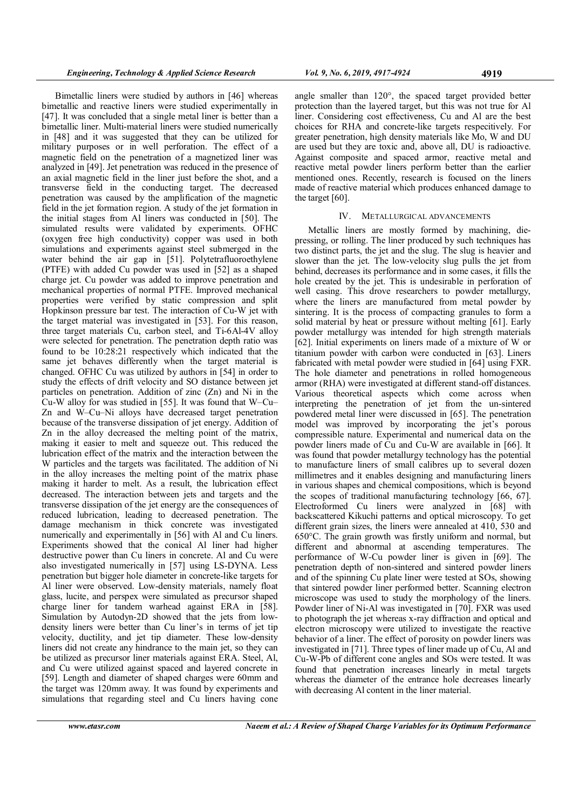Bimetallic liners were studied by authors in [46] whereas bimetallic and reactive liners were studied experimentally in [47]. It was concluded that a single metal liner is better than a bimetallic liner. Multi-material liners were studied numerically in [48] and it was suggested that they can be utilized for military purposes or in well perforation. The effect of a magnetic field on the penetration of a magnetized liner was analyzed in [49]. Jet penetration was reduced in the presence of an axial magnetic field in the liner just before the shot, and a transverse field in the conducting target. The decreased penetration was caused by the amplification of the magnetic field in the jet formation region. A study of the jet formation in the initial stages from Al liners was conducted in [50]. The simulated results were validated by experiments. OFHC (oxygen free high conductivity) copper was used in both simulations and experiments against steel submerged in the water behind the air gap in [51]. Polytetrafluoroethylene (PTFE) with added Cu powder was used in [52] as a shaped charge jet. Cu powder was added to improve penetration and mechanical properties of normal PTFE. Improved mechanical properties were verified by static compression and split Hopkinson pressure bar test. The interaction of Cu-W jet with the target material was investigated in [53]. For this reason, three target materials Cu, carbon steel, and Ti-6Al-4V alloy were selected for penetration. The penetration depth ratio was found to be 10:28:21 respectively which indicated that the same jet behaves differently when the target material is changed. OFHC Cu was utilized by authors in [54] in order to study the effects of drift velocity and SO distance between jet particles on penetration. Addition of zinc (Zn) and Ni in the Cu-W alloy for was studied in [55]. It was found that W–Cu– Zn and W–Cu–Ni alloys have decreased target penetration because of the transverse dissipation of jet energy. Addition of Zn in the alloy decreased the melting point of the matrix, making it easier to melt and squeeze out. This reduced the lubrication effect of the matrix and the interaction between the W particles and the targets was facilitated. The addition of Ni in the alloy increases the melting point of the matrix phase making it harder to melt. As a result, the lubrication effect decreased. The interaction between jets and targets and the transverse dissipation of the jet energy are the consequences of reduced lubrication, leading to decreased penetration. The damage mechanism in thick concrete was investigated numerically and experimentally in [56] with Al and Cu liners. Experiments showed that the conical Al liner had higher destructive power than Cu liners in concrete. Al and Cu were also investigated numerically in [57] using LS-DYNA. Less penetration but bigger hole diameter in concrete-like targets for Al liner were observed. Low-density materials, namely float glass, lucite, and perspex were simulated as precursor shaped charge liner for tandem warhead against ERA in [58]. Simulation by Autodyn-2D showed that the jets from lowdensity liners were better than Cu liner's in terms of jet tip velocity, ductility, and jet tip diameter. These low-density liners did not create any hindrance to the main jet, so they can be utilized as precursor liner materials against ERA. Steel, Al, and Cu were utilized against spaced and layered concrete in [59]. Length and diameter of shaped charges were 60mm and the target was 120mm away. It was found by experiments and simulations that regarding steel and Cu liners having cone

angle smaller than 120°, the spaced target provided better protection than the layered target, but this was not true for Al liner. Considering cost effectiveness, Cu and Al are the best choices for RHA and concrete-like targets respecitively. For greater penetration, high density materials like Mo, W and DU are used but they are toxic and, above all, DU is radioactive. Against composite and spaced armor, reactive metal and reactive metal powder liners perform better than the earlier mentioned ones. Recently, research is focused on the liners made of reactive material which produces enhanced damage to the target [60].

## IV. METALLURGICAL ADVANCEMENTS

Metallic liners are mostly formed by machining, diepressing, or rolling. The liner produced by such techniques has two distinct parts, the jet and the slug. The slug is heavier and slower than the jet. The low-velocity slug pulls the jet from behind, decreases its performance and in some cases, it fills the hole created by the jet. This is undesirable in perforation of well casing. This drove researchers to powder metallurgy, where the liners are manufactured from metal powder by sintering. It is the process of compacting granules to form a solid material by heat or pressure without melting [61]. Early powder metallurgy was intended for high strength materials [62]. Initial experiments on liners made of a mixture of W or titanium powder with carbon were conducted in [63]. Liners fabricated with metal powder were studied in [64] using FXR. The hole diameter and penetrations in rolled homogeneous armor (RHA) were investigated at different stand-off distances. Various theoretical aspects which come across when interpreting the penetration of jet from the un-sintered powdered metal liner were discussed in [65]. The penetration model was improved by incorporating the jet's porous compressible nature. Experimental and numerical data on the powder liners made of Cu and Cu-W are available in [66]. It was found that powder metallurgy technology has the potential to manufacture liners of small calibres up to several dozen millimetres and it enables designing and manufacturing liners in various shapes and chemical compositions, which is beyond the scopes of traditional manufacturing technology [66, 67]. Electroformed Cu liners were analyzed in [68] with backscattered Kikuchi patterns and optical microscopy. To get different grain sizes, the liners were annealed at 410, 530 and 650°C. The grain growth was firstly uniform and normal, but different and abnormal at ascending temperatures. The performance of W-Cu powder liner is given in [69]. The penetration depth of non-sintered and sintered powder liners and of the spinning Cu plate liner were tested at SOs, showing that sintered powder liner performed better. Scanning electron microscope was used to study the morphology of the liners. Powder liner of Ni-Al was investigated in [70]. FXR was used to photograph the jet whereas x-ray diffraction and optical and electron microscopy were utilized to investigate the reactive behavior of a liner. The effect of porosity on powder liners was investigated in [71]. Three types of liner made up of Cu, Al and Cu-W-Pb of different cone angles and SOs were tested. It was found that penetration increases linearly in metal targets whereas the diameter of the entrance hole decreases linearly with decreasing Al content in the liner material.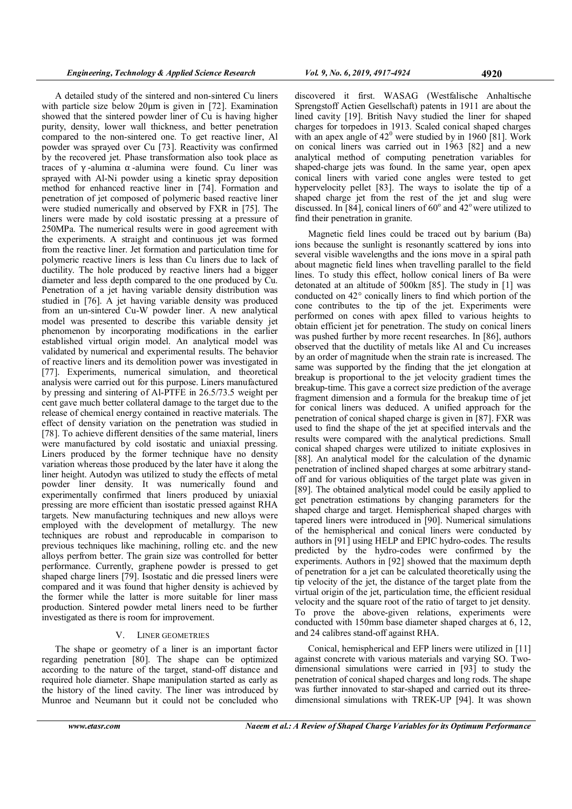A detailed study of the sintered and non-sintered Cu liners with particle size below 20μm is given in [72]. Examination showed that the sintered powder liner of Cu is having higher purity, density, lower wall thickness, and better penetration compared to the non-sintered one. To get reactive liner, Al powder was sprayed over Cu [73]. Reactivity was confirmed by the recovered jet. Phase transformation also took place as traces of γ -alumina α -alumina were found. Cu liner was sprayed with Al-Ni powder using a kinetic spray deposition method for enhanced reactive liner in [74]. Formation and penetration of jet composed of polymeric based reactive liner were studied numerically and observed by FXR in [75]. The liners were made by cold isostatic pressing at a pressure of 250MPa. The numerical results were in good agreement with the experiments. A straight and continuous jet was formed from the reactive liner. Jet formation and particulation time for polymeric reactive liners is less than Cu liners due to lack of ductility. The hole produced by reactive liners had a bigger diameter and less depth compared to the one produced by Cu. Penetration of a jet having variable density distribution was studied in [76]. A jet having variable density was produced from an un-sintered Cu-W powder liner. A new analytical model was presented to describe this variable density jet phenomenon by incorporating modifications in the earlier established virtual origin model. An analytical model was validated by numerical and experimental results. The behavior of reactive liners and its demolition power was investigated in [77]. Experiments, numerical simulation, and theoretical analysis were carried out for this purpose. Liners manufactured by pressing and sintering of Al-PTFE in 26.5/73.5 weight per cent gave much better collateral damage to the target due to the release of chemical energy contained in reactive materials. The effect of density variation on the penetration was studied in [78]. To achieve different densities of the same material, liners were manufactured by cold isostatic and uniaxial pressing. Liners produced by the former technique have no density variation whereas those produced by the later have it along the liner height. Autodyn was utilized to study the effects of metal powder liner density. It was numerically found and experimentally confirmed that liners produced by uniaxial pressing are more efficient than isostatic pressed against RHA targets. New manufacturing techniques and new alloys were employed with the development of metallurgy. The new techniques are robust and reproducable in comparison to previous techniques like machining, rolling etc. and the new alloys perfrom better. The grain size was controlled for better performance. Currently, graphene powder is pressed to get shaped charge liners [79]. Isostatic and die pressed liners were compared and it was found that higher density is achieved by the former while the latter is more suitable for liner mass production. Sintered powder metal liners need to be further investigated as there is room for improvement.

# V. LINER GEOMETRIES

The shape or geometry of a liner is an important factor regarding penetration [80]. The shape can be optimized according to the nature of the target, stand-off distance and required hole diameter. Shape manipulation started as early as the history of the lined cavity. The liner was introduced by Munroe and Neumann but it could not be concluded who

discovered it first. WASAG (Westfalische Anhaltische Sprengstoff Actien Gesellschaft) patents in 1911 are about the lined cavity [19]. British Navy studied the liner for shaped charges for torpedoes in 1913. Scaled conical shaped charges with an apex angle of  $42^{\circ}$  were studied by in 1960 [81]. Work on conical liners was carried out in 1963 [82] and a new analytical method of computing penetration variables for shaped-charge jets was found. In the same year, open apex conical liners with varied cone angles were tested to get hypervelocity pellet [83]. The ways to isolate the tip of a shaped charge jet from the rest of the jet and slug were discussed. In [84], conical liners of  $60^{\circ}$  and  $42^{\circ}$  were utilized to find their penetration in granite.

Magnetic field lines could be traced out by barium (Ba) ions because the sunlight is resonantly scattered by ions into several visible wavelengths and the ions move in a spiral path about magnetic field lines when travelling parallel to the field lines. To study this effect, hollow conical liners of Ba were detonated at an altitude of 500km [85]. The study in [1] was conducted on 42° conically liners to find which portion of the cone contributes to the tip of the jet. Experiments were performed on cones with apex filled to various heights to obtain efficient jet for penetration. The study on conical liners was pushed further by more recent researches. In [86], authors observed that the ductility of metals like Al and Cu increases by an order of magnitude when the strain rate is increased. The same was supported by the finding that the jet elongation at breakup is proportional to the jet velocity gradient times the breakup-time. This gave a correct size prediction of the average fragment dimension and a formula for the breakup time of jet for conical liners was deduced. A unified approach for the penetration of conical shaped charge is given in [87]. FXR was used to find the shape of the jet at specified intervals and the results were compared with the analytical predictions. Small conical shaped charges were utilized to initiate explosives in [88]. An analytical model for the calculation of the dynamic penetration of inclined shaped charges at some arbitrary standoff and for various obliquities of the target plate was given in [89]. The obtained analytical model could be easily applied to get penetration estimations by changing parameters for the shaped charge and target. Hemispherical shaped charges with tapered liners were introduced in [90]. Numerical simulations of the hemispherical and conical liners were conducted by authors in [91] using HELP and EPIC hydro-codes. The results predicted by the hydro-codes were confirmed by the experiments. Authors in [92] showed that the maximum depth of penetration for a jet can be calculated theoretically using the tip velocity of the jet, the distance of the target plate from the virtual origin of the jet, particulation time, the efficient residual velocity and the square root of the ratio of target to jet density. To prove the above-given relations, experiments were conducted with 150mm base diameter shaped charges at 6, 12, and 24 calibres stand-off against RHA.

Conical, hemispherical and EFP liners were utilized in [11] against concrete with various materials and varying SO. Twodimensional simulations were carried in [93] to study the penetration of conical shaped charges and long rods. The shape was further innovated to star-shaped and carried out its threedimensional simulations with TREK-UP [94]. It was shown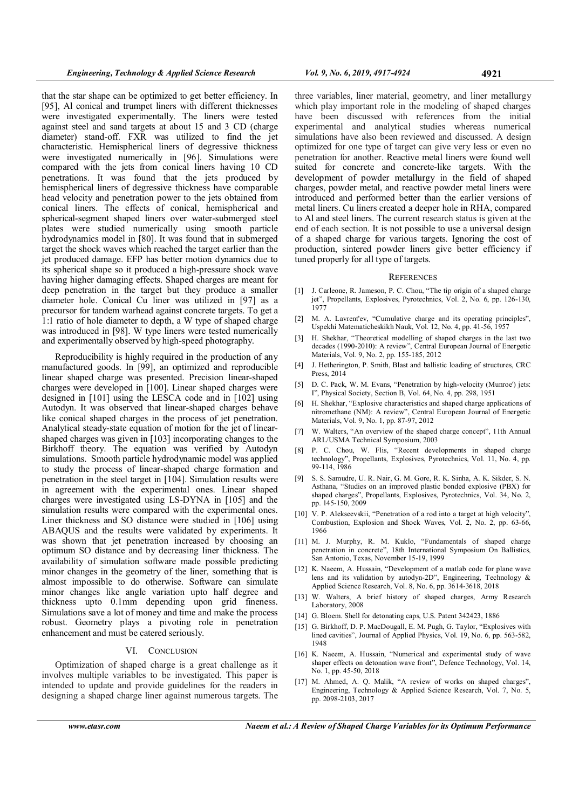that the star shape can be optimized to get better efficiency. In [95], Al conical and trumpet liners with different thicknesses were investigated experimentally. The liners were tested against steel and sand targets at about 15 and 3 CD (charge diameter) stand-off. FXR was utilized to find the jet characteristic. Hemispherical liners of degressive thickness were investigated numerically in [96]. Simulations were compared with the jets from conical liners having 10 CD penetrations. It was found that the jets produced by hemispherical liners of degressive thickness have comparable head velocity and penetration power to the jets obtained from conical liners. The effects of conical, hemispherical and spherical-segment shaped liners over water-submerged steel plates were studied numerically using smooth particle hydrodynamics model in [80]. It was found that in submerged target the shock waves which reached the target earlier than the jet produced damage. EFP has better motion dynamics due to its spherical shape so it produced a high-pressure shock wave having higher damaging effects. Shaped charges are meant for deep penetration in the target but they produce a smaller diameter hole. Conical Cu liner was utilized in [97] as a precursor for tandem warhead against concrete targets. To get a 1:1 ratio of hole diameter to depth, a W type of shaped charge was introduced in [98]. W type liners were tested numerically and experimentally observed by high-speed photography.

Reproducibility is highly required in the production of any manufactured goods. In [99], an optimized and reproducible linear shaped charge was presented. Precision linear-shaped charges were developed in [100]. Linear shaped charges were designed in [101] using the LESCA code and in [102] using Autodyn. It was observed that linear-shaped charges behave like conical shaped charges in the process of jet penetration. Analytical steady-state equation of motion for the jet of linearshaped charges was given in [103] incorporating changes to the Birkhoff theory. The equation was verified by Autodyn simulations. Smooth particle hydrodynamic model was applied to study the process of linear-shaped charge formation and penetration in the steel target in [104]. Simulation results were in agreement with the experimental ones. Linear shaped charges were investigated using LS-DYNA in [105] and the simulation results were compared with the experimental ones. Liner thickness and SO distance were studied in [106] using ABAQUS and the results were validated by experiments. It was shown that jet penetration increased by choosing an optimum SO distance and by decreasing liner thickness. The availability of simulation software made possible predicting minor changes in the geometry of the liner, something that is almost impossible to do otherwise. Software can simulate minor changes like angle variation upto half degree and thickness upto 0.1mm depending upon grid fineness. Simulations save a lot of money and time and make the process robust. Geometry plays a pivoting role in penetration enhancement and must be catered seriously.

#### VI. CONCLUSION

Optimization of shaped charge is a great challenge as it involves multiple variables to be investigated. This paper is intended to update and provide guidelines for the readers in designing a shaped charge liner against numerous targets. The

three variables, liner material, geometry, and liner metallurgy which play important role in the modeling of shaped charges have been discussed with references from the initial experimental and analytical studies whereas numerical simulations have also been reviewed and discussed. A design optimized for one type of target can give very less or even no penetration for another. Reactive metal liners were found well suited for concrete and concrete-like targets. With the development of powder metallurgy in the field of shaped charges, powder metal, and reactive powder metal liners were introduced and performed better than the earlier versions of metal liners. Cu liners created a deeper hole in RHA, compared to Al and steel liners. The current research status is given at the end of each section. It is not possible to use a universal design of a shaped charge for various targets. Ignoring the cost of production, sintered powder liners give better efficiency if tuned properly for all type of targets.

#### **REFERENCES**

- [1] J. Carleone, R. Jameson, P. C. Chou, "The tip origin of a shaped charge jet", Propellants, Explosives, Pyrotechnics, Vol. 2, No. 6, pp. 126-130, 1977
- [2] M. A. Lavrent'ev, "Cumulative charge and its operating principles", Uspekhi Matematicheskikh Nauk, Vol. 12, No. 4, pp. 41-56, 1957
- [3] H. Shekhar, "Theoretical modelling of shaped charges in the last two decades (1990-2010): A review", Central European Journal of Energetic Materials, Vol. 9, No. 2, pp. 155-185, 2012
- [4] J. Hetherington, P. Smith, Blast and ballistic loading of structures, CRC Press, 2014
- [5] D. C. Pack, W. M. Evans, "Penetration by high-velocity (Munroe') jets: I", Physical Society, Section B, Vol. 64, No. 4, pp. 298, 1951
- [6] H. Shekhar, "Explosive characteristics and shaped charge applications of nitromethane (NM): A review", Central European Journal of Energetic Materials, Vol. 9, No. 1, pp. 87-97, 2012
- [7] W. Walters, "An overview of the shaped charge concept", 11th Annual ARL/USMA Technical Symposium, 2003
- [8] P. C. Chou, W. Flis, "Recent developments in shaped charge technology", Propellants, Explosives, Pyrotechnics, Vol. 11, No. 4, pp. 99-114, 1986
- [9] S. S. Samudre, U. R. Nair, G. M. Gore, R. K. Sinha, A. K. Sikder, S. N. Asthana, "Studies on an improved plastic bonded explosive (PBX) for shaped charges", Propellants, Explosives, Pyrotechnics, Vol. 34, No. 2, pp. 145-150, 2009
- [10] V. P. Alekseevskii, "Penetration of a rod into a target at high velocity", Combustion, Explosion and Shock Waves, Vol. 2, No. 2, pp. 63-66, 1966
- [11] M. J. Murphy, R. M. Kuklo, "Fundamentals of shaped charge penetration in concrete", 18th International Symposium On Ballistics, San Antonio, Texas, November 15-19, 1999
- [12] K. Naeem, A. Hussain, "Development of a matlab code for plane wave lens and its validation by autodyn-2D", Engineering, Technology & Applied Science Research, Vol. 8, No. 6, pp. 3614-3618, 2018
- [13] W. Walters, A brief history of shaped charges, Army Research Laboratory, 2008
- [14] G. Bloem. Shell for detonating caps, U.S. Patent 342423, 1886
- [15] G. Birkhoff, D. P. MacDougall, E. M. Pugh, G. Taylor, "Explosives with lined cavities", Journal of Applied Physics, Vol. 19, No. 6, pp. 563-582, 1948
- [16] K. Naeem, A. Hussain, "Numerical and experimental study of wave shaper effects on detonation wave front", Defence Technology, Vol. 14, No. 1, pp. 45-50, 2018
- [17] M. Ahmed, A. Q. Malik, "A review of works on shaped charges", Engineering, Technology & Applied Science Research, Vol. 7, No. 5, pp. 2098-2103, 2017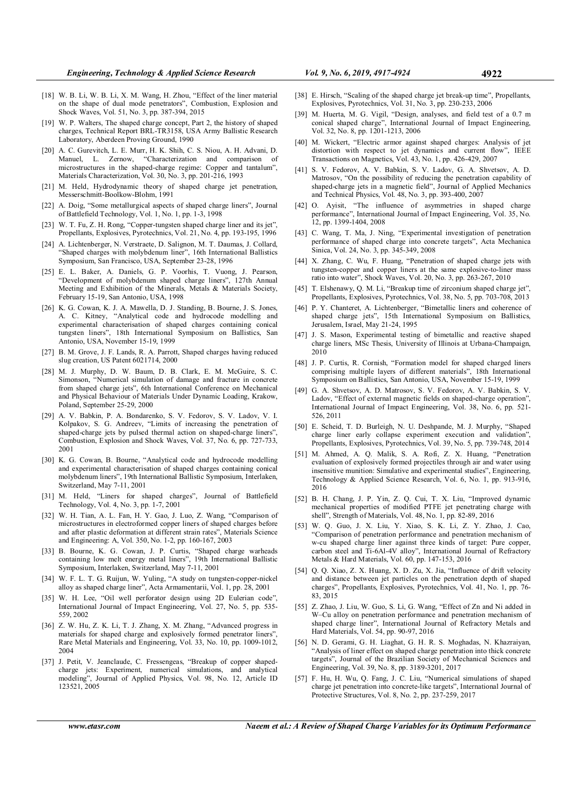- [18] W. B. Li, W. B. Li, X. M. Wang, H. Zhou, "Effect of the liner material on the shape of dual mode penetrators", Combustion, Explosion and Shock Waves, Vol. 51, No. 3, pp. 387-394, 2015
- [19] W. P. Walters, The shaped charge concept, Part 2, the history of shaped charges, Technical Report BRL-TR3158, USA Army Ballistic Research Laboratory, Aberdeen Proving Ground, 1990
- [20] A. C. Gurevitch, L. E. Murr, H. K. Shih, C. S. Niou, A. H. Advani, D. Manuel, L. Zernow, "Characterization and comparison of microstructures in the shaped-charge regime: Copper and tantalum", Materials Characterization, Vol. 30, No. 3, pp. 201-216, 1993
- [21] M. Held, Hydrodynamic theory of shaped charge jet penetration, Messerschmitt-Boolkow-Blohm, 1991
- [22] A. Doig, "Some metallurgical aspects of shaped charge liners", Journal of Battlefield Technology, Vol. 1, No. 1, pp. 1-3, 1998
- [23] W. T. Fu, Z. H. Rong, "Copper-tungsten shaped charge liner and its jet" Propellants, Explosives, Pyrotechnics, Vol. 21, No. 4, pp. 193-195, 1996
- [24] A. Lichtenberger, N. Verstraete, D. Salignon, M. T. Daumas, J. Collard, "Shaped charges with molybdenum liner", 16th International Ballistics Symposium, San Francisco, USA, September 23-28, 1996
- [25] E. L. Baker, A. Daniels, G. P. Voorhis, T. Vuong, J. Pearson, "Development of molybdenum shaped charge liners", 127th Annual Meeting and Exhibition of the Minerals, Metals & Materials Society, February 15-19, San Antonio, USA, 1998
- [26] K. G. Cowan, K. J. A. Mawella, D. J. Standing, B. Bourne, J. S. Jones, A. C. Kitney, "Analytical code and hydrocode modelling and experimental characterisation of shaped charges containing conical tungsten liners", 18th International Symposium on Ballistics, San Antonio, USA, November 15-19, 1999
- [27] B. M. Grove, J. F. Lands, R. A. Parrott, Shaped charges having reduced slug creation, US Patent 6021714, 2000
- [28] M. J. Murphy, D. W. Baum, D. B. Clark, E. M. McGuire, S. C. Simonson, "Numerical simulation of damage and fracture in concrete from shaped charge jets", 6th International Conference on Mechanical and Physical Behaviour of Materials Under Dynamic Loading, Krakow, Poland, September 25-29, 2000
- [29] A. V. Babkin, P. A. Bondarenko, S. V. Fedorov, S. V. Ladov, V. I. Kolpakov, S. G. Andreev, "Limits of increasing the penetration of shaped-charge jets by pulsed thermal action on shaped-charge liners", Combustion, Explosion and Shock Waves, Vol. 37, No. 6, pp. 727-733, 2001
- [30] K. G. Cowan, B. Bourne, "Analytical code and hydrocode modelling and experimental characterisation of shaped charges containing conical molybdenum liners", 19th International Ballistic Symposium, Interlaken, Switzerland, May 7-11, 2001
- [31] M. Held, "Liners for shaped charges", Journal of Battlefield Technology, Vol. 4, No. 3, pp. 1-7, 2001
- [32] W. H. Tian, A. L. Fan, H. Y. Gao, J. Luo, Z. Wang, "Comparison of microstructures in electroformed copper liners of shaped charges before and after plastic deformation at different strain rates", Materials Science and Engineering: A, Vol. 350, No. 1-2, pp. 160-167, 2003
- [33] B. Bourne, K. G. Cowan, J. P. Curtis, "Shaped charge warheads containing low melt energy metal liners", 19th International Ballistic Symposium, Interlaken, Switzerland, May 7-11, 2001
- [34] W. F. L. T. G. Ruijun, W. Yuling, "A study on tungsten-copper-nickel alloy as shaped charge liner", Acta Armamentarii, Vol. 1, pp. 28, 2001
- [35] W. H. Lee, "Oil well perforator design using 2D Eulerian code" International Journal of Impact Engineering, Vol. 27, No. 5, pp. 535- 559, 2002
- [36] Z. W. Hu, Z. K. Li, T. J. Zhang, X. M. Zhang, "Advanced progress in materials for shaped charge and explosively formed penetrator liners", Rare Metal Materials and Engineering, Vol. 33, No. 10, pp. 1009-1012, 2004
- [37] J. Petit, V. Jeanclaude, C. Fressengeas, "Breakup of copper shapedcharge jets: Experiment, numerical simulations, and analytical modeling", Journal of Applied Physics, Vol. 98, No. 12, Article ID 123521, 2005
- [38] E. Hirsch, "Scaling of the shaped charge jet break-up time", Propellants, Explosives, Pyrotechnics, Vol. 31, No. 3, pp. 230-233, 2006
- [39] M. Huerta, M. G. Vigil, "Design, analyses, and field test of a 0.7 m conical shaped charge", International Journal of Impact Engineering, Vol. 32, No. 8, pp. 1201-1213, 2006
- [40] M. Wickert, "Electric armor against shaped charges: Analysis of jet distortion with respect to jet dynamics and current flow", IEEE Transactions on Magnetics, Vol. 43, No. 1, pp. 426-429, 2007
- [41] S. V. Fedorov, A. V. Babkin, S. V. Ladov, G. A. Shvetsov, A. D. Matrosov, "On the possibility of reducing the penetration capability of shaped-charge jets in a magnetic field", Journal of Applied Mechanics and Technical Physics, Vol. 48, No. 3, pp. 393-400, 2007
- [42] O. Ayisit, "The influence of asymmetries in shaped charge performance", International Journal of Impact Engineering, Vol. 35, No. 12, pp. 1399-1404, 2008
- [43] C. Wang, T. Ma, J. Ning, "Experimental investigation of penetration performance of shaped charge into concrete targets", Acta Mechanica Sinica, Vol. 24, No. 3, pp. 345-349, 2008
- [44] X. Zhang, C. Wu, F. Huang, "Penetration of shaped charge jets with tungsten-copper and copper liners at the same explosive-to-liner mass ratio into water", Shock Waves, Vol. 20, No. 3, pp. 263-267, 2010
- [45] T. Elshenawy, Q. M. Li, "Breakup time of zirconium shaped charge jet", Propellants, Explosives, Pyrotechnics, Vol. 38, No. 5, pp. 703-708, 2013
- [46] P. Y. Chanteret, A. Lichtenberger, "Bimetallic liners and coherence of shaped charge jets", 15th International Symposium on Ballistics, Jerusalem, Israel, May 21-24, 1995
- [47] J. S. Mason, Experimental testing of bimetallic and reactive shaped charge liners, MSc Thesis, University of Illinois at Urbana-Champaign, 2010
- [48] J. P. Curtis, R. Cornish, "Formation model for shaped charged liners comprising multiple layers of different materials", 18th International Symposium on Ballistics, San Antonio, USA, November 15-19, 1999
- [49] G. A. Shvetsov, A. D. Matrosov, S. V. Fedorov, A. V. Babkin, S. V. Ladov, "Effect of external magnetic fields on shaped-charge operation", International Journal of Impact Engineering, Vol. 38, No. 6, pp. 521- 526, 2011
- [50] E. Scheid, T. D. Burleigh, N. U. Deshpande, M. J. Murphy, "Shaped charge liner early collapse experiment execution and validation", Propellants, Explosives, Pyrotechnics, Vol. 39, No. 5, pp. 739-748, 2014
- [51] M. Ahmed, A. Q. Malik, S. A. Rofi, Z. X. Huang, "Penetration evaluation of explosively formed projectiles through air and water using insensitive munition: Simulative and experimental studies", Engineering, Technology & Applied Science Research, Vol. 6, No. 1, pp. 913-916, 2016
- [52] B. H. Chang, J. P. Yin, Z. Q. Cui, T. X. Liu, "Improved dynamic mechanical properties of modified PTFE jet penetrating charge with shell", Strength of Materials, Vol. 48, No. 1, pp. 82-89, 2016
- [53] W. Q. Guo, J. X. Liu, Y. Xiao, S. K. Li, Z. Y. Zhao, J. Cao, "Comparison of penetration performance and penetration mechanism of w-cu shaped charge liner against three kinds of target: Pure copper, carbon steel and Ti-6Al-4V alloy", International Journal of Refractory Metals & Hard Materials, Vol. 60, pp. 147-153, 2016
- [54] Q. Q. Xiao, Z. X. Huang, X. D. Zu, X. Jia, "Influence of drift velocity and distance between jet particles on the penetration depth of shaped charges", Propellants, Explosives, Pyrotechnics, Vol. 41, No. 1, pp. 76- 83, 2015
- [55] Z. Zhao, J. Liu, W. Guo, S. Li, G. Wang, "Effect of Zn and Ni added in W–Cu alloy on penetration performance and penetration mechanism of shaped charge liner", International Journal of Refractory Metals and Hard Materials, Vol. 54, pp. 90-97, 2016
- [56] N. D. Gerami, G. H. Liaghat, G. H. R. S. Moghadas, N. Khazraiyan, "Analysis of liner effect on shaped charge penetration into thick concrete targets", Journal of the Brazilian Society of Mechanical Sciences and Engineering, Vol. 39, No. 8, pp. 3189-3201, 2017
- [57] F. Hu, H. Wu, Q. Fang, J. C. Liu, "Numerical simulations of shaped charge jet penetration into concrete-like targets", International Journal of Protective Structures, Vol. 8, No. 2, pp. 237-259, 2017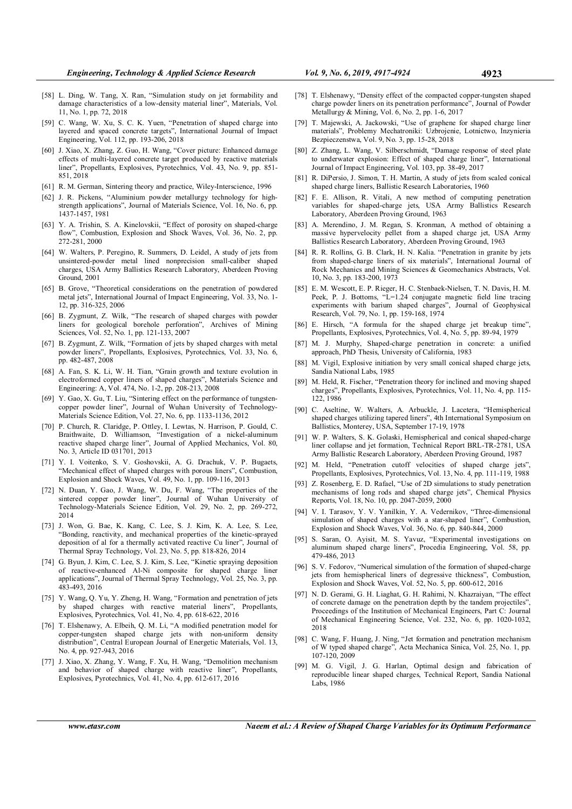- [58] L. Ding, W. Tang, X. Ran, "Simulation study on jet formability and damage characteristics of a low-density material liner", Materials, Vol. 11, No. 1, pp. 72, 2018
- [59] C. Wang, W. Xu, S. C. K. Yuen, "Penetration of shaped charge into layered and spaced concrete targets", International Journal of Impact Engineering, Vol. 112, pp. 193-206, 2018
- [60] J. Xiao, X. Zhang, Z. Guo, H. Wang, "Cover picture: Enhanced damage effects of multi-layered concrete target produced by reactive materials liner", Propellants, Explosives, Pyrotechnics, Vol. 43, No. 9, pp. 851- 851, 2018
- [61] R. M. German, Sintering theory and practice, Wiley-Interscience, 1996
- [62] J. R. Pickens, "Aluminium powder metallurgy technology for highstrength applications", Journal of Materials Science, Vol. 16, No. 6, pp. 1437-1457, 1981
- [63] Y. A. Trishin, S. A. Kinelovskii, "Effect of porosity on shaped-charge flow", Combustion, Explosion and Shock Waves, Vol. 36, No. 2, pp. 272-281, 2000
- [64] W. Walters, P. Peregino, R. Summers, D. Leidel, A study of jets from unsintered-powder metal lined nonprecision small-caliber shaped charges, USA Army Ballistics Research Laboratory, Aberdeen Proving Ground, 2001
- [65] B. Grove, "Theoretical considerations on the penetration of powdered metal jets", International Journal of Impact Engineering, Vol. 33, No. 1- 12, pp. 316-325, 2006
- [66] B. Zygmunt, Z. Wilk, "The research of shaped charges with powder liners for geological borehole perforation", Archives of Mining Sciences, Vol. 52, No. 1, pp. 121-133, 2007
- [67] B. Zygmunt, Z. Wilk, "Formation of jets by shaped charges with metal powder liners", Propellants, Explosives, Pyrotechnics, Vol. 33, No. 6, pp. 482-487, 2008
- [68] A. Fan, S. K. Li, W. H. Tian, "Grain growth and texture evolution in electroformed copper liners of shaped charges", Materials Science and Engineering: A, Vol. 474, No. 1-2, pp. 208-213, 2008
- Y. Gao, X. Gu, T. Liu, "Sintering effect on the performance of tungstencopper powder liner", Journal of Wuhan University of Technology-Materials Science Edition, Vol. 27, No. 6, pp. 1133-1136, 2012
- [70] P. Church, R. Claridge, P. Ottley, I. Lewtas, N. Harrison, P. Gould, C. Braithwaite, D. Williamson, "Investigation of a nickel-aluminum reactive shaped charge liner", Journal of Applied Mechanics, Vol. 80, No. 3, Article ID 031701, 2013
- [71] Y. I. Voitenko, S. V. Goshovskii, A. G. Drachuk, V. P. Bugaets, "Mechanical effect of shaped charges with porous liners", Combustion, Explosion and Shock Waves, Vol. 49, No. 1, pp. 109-116, 2013
- [72] N. Duan, Y. Gao, J. Wang, W. Du, F. Wang, "The properties of the sintered copper powder liner", Journal of Wuhan University of Technology-Materials Science Edition, Vol. 29, No. 2, pp. 269-272, 2014
- [73] J. Won, G. Bae, K. Kang, C. Lee, S. J. Kim, K. A. Lee, S. Lee, "Bonding, reactivity, and mechanical properties of the kinetic-sprayed deposition of al for a thermally activated reactive Cu liner", Journal of Thermal Spray Technology, Vol. 23, No. 5, pp. 818-826, 2014
- [74] G. Byun, J. Kim, C. Lee, S. J. Kim, S. Lee, "Kinetic spraying deposition of reactive-enhanced Al-Ni composite for shaped charge liner applications", Journal of Thermal Spray Technology, Vol. 25, No. 3, pp. 483-493, 2016
- [75] Y. Wang, Q. Yu, Y. Zheng, H. Wang, "Formation and penetration of jets by shaped charges with reactive material liners", Propellants, Explosives, Pyrotechnics, Vol. 41, No. 4, pp. 618-622, 2016
- [76] T. Elshenawy, A. Elbeih, Q. M. Li, "A modified penetration model for copper-tungsten shaped charge jets with non-uniform density distribution", Central European Journal of Energetic Materials, Vol. 13, No. 4, pp. 927-943, 2016
- [77] J. Xiao, X. Zhang, Y. Wang, F. Xu, H. Wang, "Demolition mechanism and behavior of shaped charge with reactive liner", Propellants, Explosives, Pyrotechnics, Vol. 41, No. 4, pp. 612-617, 2016
- [78] T. Elshenawy, "Density effect of the compacted copper-tungsten shaped charge powder liners on its penetration performance", Journal of Powder Metallurgy & Mining, Vol. 6, No. 2, pp. 1-6, 2017
- [79] T. Majewski, A. Jackowski, "Use of graphene for shaped charge liner materials", Problemy Mechatroniki: Uzbrojenie, Lotnictwo, Inzynieria Bezpieczenstwa, Vol. 9, No. 3, pp. 15-28, 2018
- [80] Z. Zhang, L. Wang, V. Silberschmidt, "Damage response of steel plate to underwater explosion: Effect of shaped charge liner", International Journal of Impact Engineering, Vol. 103, pp. 38-49, 2017
- [81] R. DiPersio, J. Simon, T. H. Martin, A study of jets from scaled conical shaped charge liners, Ballistic Research Laboratories, 1960
- [82] F. E. Allison, R. Vitali, A new method of computing penetration variables for shaped-charge jets, USA Army Ballistics Research Laboratory, Aberdeen Proving Ground, 1963
- [83] A. Merendino, J. M. Regan, S. Kronman, A method of obtaining a massive hypervelocity pellet from a shaped charge jet, USA Army Ballistics Research Laboratory, Aberdeen Proving Ground, 1963
- [84] R. R. Rollins, G. B. Clark, H. N. Kalia. "Penetration in granite by jets from shaped-charge liners of six materials", International Journal of Rock Mechanics and Mining Sciences & Geomechanics Abstracts, Vol. 10, No. 3, pp. 183-200, 1973
- [85] E. M. Wescott, E. P. Rieger, H. C. Stenbaek-Nielsen, T. N. Davis, H. M. Peek, P. J. Bottoms, "L=1.24 conjugate magnetic field line tracing experiments with barium shaped charges", Journal of Geophysical Research, Vol. 79, No. 1, pp. 159-168, 1974
- [86] E. Hirsch, "A formula for the shaped charge jet breakup time", Propellants, Explosives, Pyrotechnics, Vol. 4, No. 5, pp. 89-94, 1979
- [87] M. J. Murphy, Shaped-charge penetration in concrete: a unified approach, PhD Thesis, University of California, 1983
- [88] M. Vigil, Explosive initiation by very small conical shaped charge jets, Sandia National Labs, 1985
- [89] M. Held, R. Fischer, "Penetration theory for inclined and moving shaped charges", Propellants, Explosives, Pyrotechnics, Vol. 11, No. 4, pp. 115- 122, 1986
- [90] C. Aseltine, W. Walters, A. Arbuckle, J. Lacetera, "Hemispherical shaped charges utilizing tapered liners", 4th International Symposium on Ballistics, Monterey, USA, September 17-19, 1978
- [91] W. P. Walters, S. K. Golaski, Hemispherical and conical shaped-charge liner collapse and jet formation, Technical Report BRL-TR-2781, USA Army Ballistic Research Laboratory, Aberdeen Proving Ground, 1987
- [92] M. Held, "Penetration cutoff velocities of shaped charge jets", Propellants, Explosives, Pyrotechnics, Vol. 13, No. 4, pp. 111-119, 1988
- [93] Z. Rosenberg, E. D. Rafael, "Use of 2D simulations to study penetration mechanisms of long rods and shaped charge jets", Chemical Physics Reports, Vol. 18, No. 10, pp. 2047-2059, 2000
- [94] V. I. Tarasov, Y. V. Yanilkin, Y. A. Vedernikov, "Three-dimensional simulation of shaped charges with a star-shaped liner", Combustion, Explosion and Shock Waves, Vol. 36, No. 6, pp. 840-844, 2000
- [95] S. Saran, O. Ayisit, M. S. Yavuz, "Experimental investigations on aluminum shaped charge liners", Procedia Engineering, Vol. 58, pp. 479-486, 2013
- [96] S. V. Fedorov, "Numerical simulation of the formation of shaped-charge jets from hemispherical liners of degressive thickness", Combustion, Explosion and Shock Waves, Vol. 52, No. 5, pp. 600-612, 2016
- [97] N. D. Gerami, G. H. Liaghat, G. H. Rahimi, N. Khazraiyan, "The effect of concrete damage on the penetration depth by the tandem projectiles", Proceedings of the Institution of Mechanical Engineers, Part C: Journal of Mechanical Engineering Science, Vol. 232, No. 6, pp. 1020-1032, 2018
- [98] C. Wang, F. Huang, J. Ning, "Jet formation and penetration mechanism of W typed shaped charge", Acta Mechanica Sinica, Vol. 25, No. 1, pp. 107-120, 2009
- [99] M. G. Vigil, J. G. Harlan, Optimal design and fabrication of reproducible linear shaped charges, Technical Report, Sandia National Labs, 1986